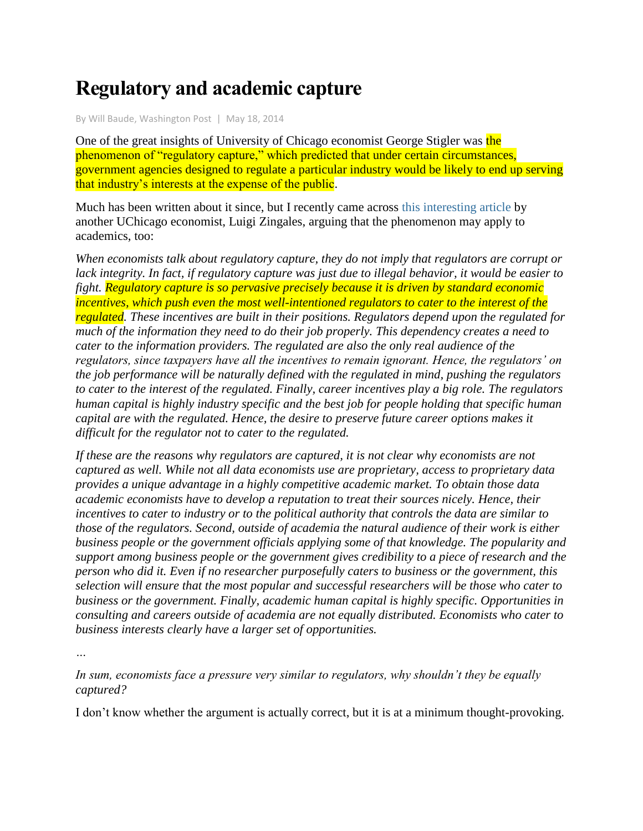## **Regulatory and academic capture**

By [Will Baude,](http://www.law.uchicago.edu/faculty/baude) Washington Post | May 18, 2014

One of the great insights of University of Chicago economist George Stigler was the phenomenon of "regulatory capture," which predicted that under certain circumstances, government agencies designed to regulate a particular industry would be likely to end up serving that industry's interests at the expense of the public.

Much has been written about it since, but I recently came across [this interesting article](http://faculty.chicagobooth.edu/luigi.zingales/papers/research/Preventing_Economists_Capture.pdf) by another UChicago economist, Luigi Zingales, arguing that the phenomenon may apply to academics, too:

*When economists talk about regulatory capture, they do not imply that regulators are corrupt or lack integrity. In fact, if regulatory capture was just due to illegal behavior, it would be easier to fight. Regulatory capture is so pervasive precisely because it is driven by standard economic incentives, which push even the most well-intentioned regulators to cater to the interest of the regulated. These incentives are built in their positions. Regulators depend upon the regulated for much of the information they need to do their job properly. This dependency creates a need to cater to the information providers. The regulated are also the only real audience of the regulators, since taxpayers have all the incentives to remain ignorant. Hence, the regulators' on the job performance will be naturally defined with the regulated in mind, pushing the regulators to cater to the interest of the regulated. Finally, career incentives play a big role. The regulators human capital is highly industry specific and the best job for people holding that specific human capital are with the regulated. Hence, the desire to preserve future career options makes it difficult for the regulator not to cater to the regulated.*

*If these are the reasons why regulators are captured, it is not clear why economists are not captured as well. While not all data economists use are proprietary, access to proprietary data provides a unique advantage in a highly competitive academic market. To obtain those data academic economists have to develop a reputation to treat their sources nicely. Hence, their incentives to cater to industry or to the political authority that controls the data are similar to those of the regulators. Second, outside of academia the natural audience of their work is either business people or the government officials applying some of that knowledge. The popularity and support among business people or the government gives credibility to a piece of research and the person who did it. Even if no researcher purposefully caters to business or the government, this selection will ensure that the most popular and successful researchers will be those who cater to business or the government. Finally, academic human capital is highly specific. Opportunities in consulting and careers outside of academia are not equally distributed. Economists who cater to business interests clearly have a larger set of opportunities.*

*…*

*In sum, economists face a pressure very similar to regulators, why shouldn't they be equally captured?*

I don't know whether the argument is actually correct, but it is at a minimum thought-provoking.